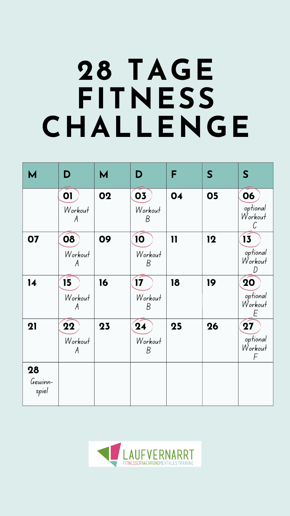| M                      | D                                            | M                   | D                            | F            | S  | S                                                  |
|------------------------|----------------------------------------------|---------------------|------------------------------|--------------|----|----------------------------------------------------|
|                        | 01<br>Workout                                | 02                  | 03<br>Workout                | 04           | 05 | 06<br>optional<br>Workout                          |
| 07                     | 80<br>Workout<br>$\mathcal{A}_{\mathcal{A}}$ | 09                  | 10<br>Workout<br>Β           | $\mathbf{1}$ | 12 | 13<br>optional<br>Workout                          |
| 14                     | 15<br>Workout<br>$\mathcal{A}_{\mathcal{A}}$ | 16                  | $\mathbf{Z}$<br>Workout<br>В | 18           | 19 | 20<br>optional<br>Workout                          |
| 21                     | 22<br>Workout<br>$\mathcal A$                | $\overline{\bf 23}$ | 24<br>Workout<br>Β           | 25           | 26 | $\mathbf{27}$<br>optional<br>Workout<br>$\sqrt{2}$ |
| 28<br>Gewinn-<br>spiel |                                              |                     |                              |              |    |                                                    |



# **28 TAGE FITNESS CHALLENGE**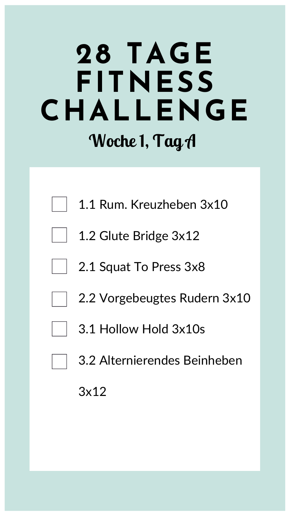## **28 TAGE FITNESS CHALLENGE Woche 1, Tag A**



1.1 Rum. Kreuzheben 3x10



- 2.1 Squat To Press 3x8
	- 2.2 Vorgebeugtes Rudern 3x10

### 3.1 Hollow Hold 3x10s

### 3.2 Alternierendes Beinheben

#### 3x12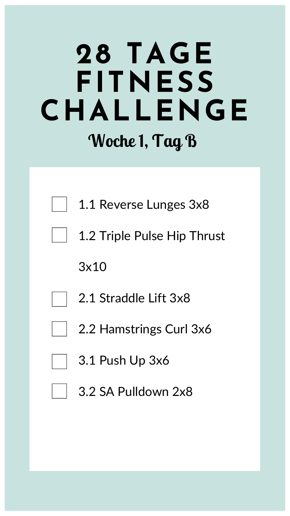## **28 TAGE FITNESS CHALLENGE Woche 1, Tag B**



1.1 Reverse Lunges 3x8



3x10

2.1 Straddle Lift 3x8





### 3.2 SA Pulldown 2x8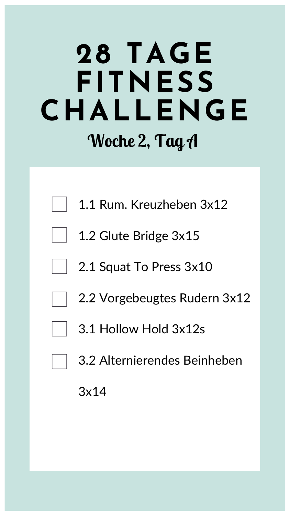## **28 TAGE FITNESS CHALLENGE Woche 2, Tag A**



- 1.1 Rum. Kreuzheben 3x12
- 1.2 Glute Bridge 3x15
- 2.1 Squat To Press 3x10
	- 2.2 Vorgebeugtes Rudern 3x12

### 3.1 Hollow Hold 3x12s

### 3.2 Alternierendes Beinheben

#### 3x14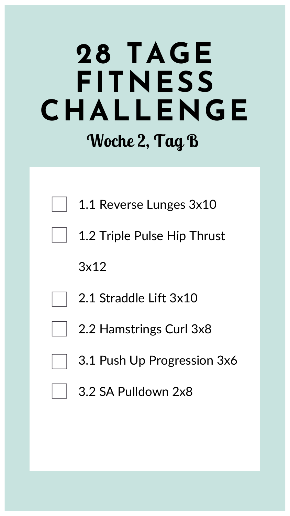## **28 TAGE FITNESS CHALLENGE Woche 2, Tag B**





3x12

2.1 Straddle Lift 3x10

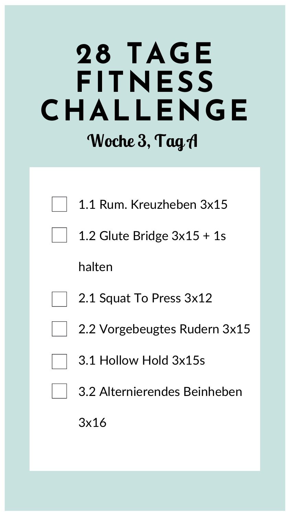## **28 TAGE FITNESS CHALLENGE Woche 3, Tag A**



1.1 Rum. Kreuzheben 3x15



halten

2.1 Squat To Press 3x12

2.2 Vorgebeugtes Rudern 3x15

### 3.1 Hollow Hold 3x15s

### 3.2 Alternierendes Beinheben

#### 3x16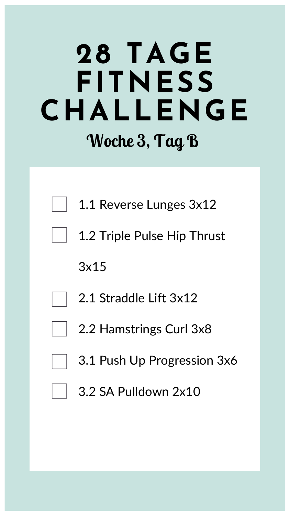## **28 TAGE FITNESS CHALLENGE Woche 3, Tag B**





3x15

2.1 Straddle Lift 3x12

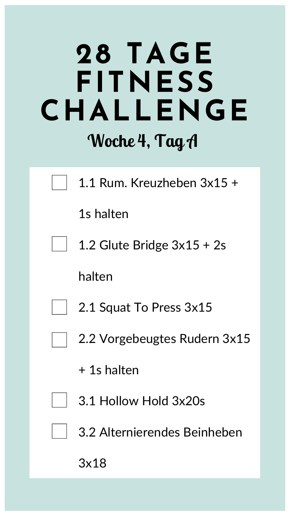## **28 TAGE FITNESS CHALLENGE Woche 4, Tag A**



1.1 Rum. Kreuzheben 3x15 +

1s halten

1.2 Glute Bridge 3x15 + 2s

halten

2.1 Squat To Press 3x15